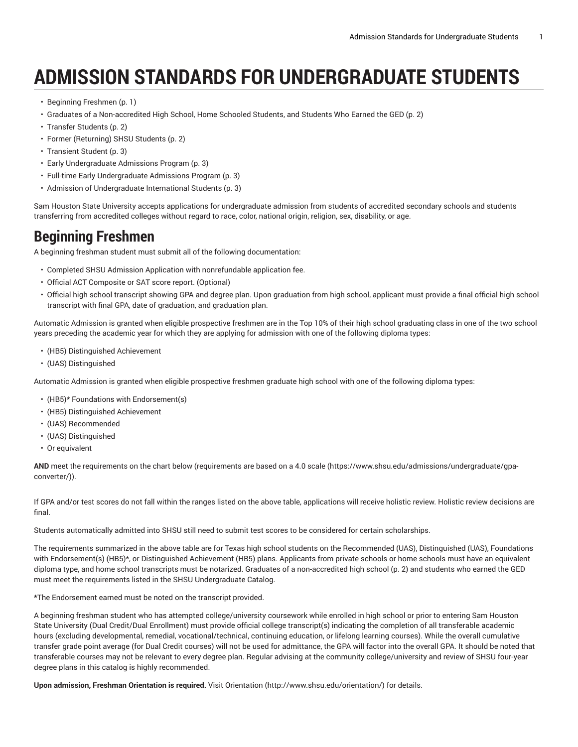# **ADMISSION STANDARDS FOR UNDERGRADUATE STUDENTS**

- [Beginning](#page-0-0) Freshmen ([p. 1\)](#page-0-0)
- Graduates of a [Non-accredited](#page-1-0) High School, Home Schooled Students, and Students Who Earned the GED ([p. 2\)](#page-1-0)
- Transfer [Students](#page-1-1) [\(p. 2](#page-1-1))
- Former [\(Returning\)](#page-1-2) SHSU Students ([p. 2\)](#page-1-2)
- [Transient](#page-2-0) Student ([p. 3\)](#page-2-0)
- Early [Undergraduate](#page-2-1) Admissions Program [\(p. 3](#page-2-1))
- Full-time Early [Undergraduate](#page-2-2) Admissions Program ([p. 3\)](#page-2-2)
- Admission of [Undergraduate](#page-2-3) International Students ([p. 3\)](#page-2-3)

Sam Houston State University accepts applications for undergraduate admission from students of accredited secondary schools and students transferring from accredited colleges without regard to race, color, national origin, religion, sex, disability, or age.

# <span id="page-0-0"></span>**Beginning Freshmen**

A beginning freshman student must submit all of the following documentation:

- Completed SHSU Admission Application with nonrefundable application fee.
- Official ACT Composite or SAT score report. (Optional)
- Official high school transcript showing GPA and degree plan. Upon graduation from high school, applicant must provide a final official high school transcript with final GPA, date of graduation, and graduation plan.

Automatic Admission is granted when eligible prospective freshmen are in the Top 10% of their high school graduating class in one of the two school years preceding the academic year for which they are applying for admission with one of the following diploma types:

- (HB5) Distinguished Achievement
- (UAS) Distinguished

Automatic Admission is granted when eligible prospective freshmen graduate high school with one of the following diploma types:

- (HB5)\* Foundations with Endorsement(s)
- (HB5) Distinguished Achievement
- (UAS) Recommended
- (UAS) Distinguished
- Or equivalent

**AND** meet the requirements on the chart below ([requirements](https://www.shsu.edu/admissions/undergraduate/gpa-converter/) are based on a 4.0 scale [\(https://www.shsu.edu/admissions/undergraduate/gpa](https://www.shsu.edu/admissions/undergraduate/gpa-converter/)[converter/](https://www.shsu.edu/admissions/undergraduate/gpa-converter/))).

If GPA and/or test scores do not fall within the ranges listed on the above table, applications will receive holistic review. Holistic review decisions are final.

Students automatically admitted into SHSU still need to submit test scores to be considered for certain scholarships.

The requirements summarized in the above table are for Texas high school students on the Recommended (UAS), Distinguished (UAS), Foundations with Endorsement(s) (HB5)\*, or Distinguished Achievement (HB5) plans. Applicants from private schools or home schools must have an equivalent diploma type, and home school transcripts must be notarized. Graduates of a [non-accredited](#page-1-0) high school ([p. 2\)](#page-1-0) and students who earned the GED must meet the requirements listed in the SHSU Undergraduate Catalog.

**\***The Endorsement earned must be noted on the transcript provided.

A beginning freshman student who has attempted college/university coursework while enrolled in high school or prior to entering Sam Houston State University (Dual Credit/Dual Enrollment) must provide official college transcript(s) indicating the completion of all transferable academic hours (excluding developmental, remedial, vocational/technical, continuing education, or lifelong learning courses). While the overall cumulative transfer grade point average (for Dual Credit courses) will not be used for admittance, the GPA will factor into the overall GPA. It should be noted that transferable courses may not be relevant to every degree plan. Regular advising at the community college/university and review of SHSU four-year degree plans in this catalog is highly recommended.

**Upon admission, Freshman Orientation is required.** Visit [Orientation \(http://www.shsu.edu/orientation/\)](http://www.shsu.edu/orientation/) for details.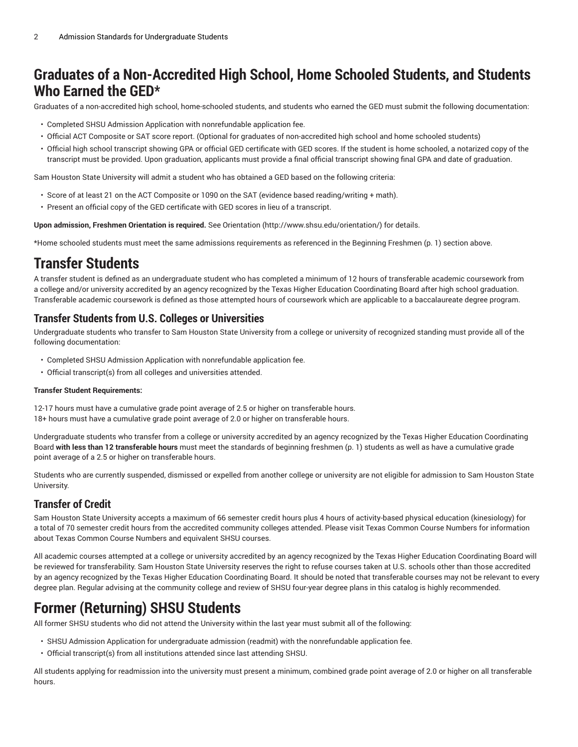# <span id="page-1-0"></span>**Graduates of a Non-Accredited High School, Home Schooled Students, and Students Who Earned the GED\***

Graduates of a non-accredited high school, home-schooled students, and students who earned the GED must submit the following documentation:

- Completed SHSU Admission Application with nonrefundable application fee.
- Official ACT Composite or SAT score report. (Optional for graduates of non-accredited high school and home schooled students)
- Official high school transcript showing GPA or official GED certificate with GED scores. If the student is home schooled, a notarized copy of the transcript must be provided. Upon graduation, applicants must provide a final official transcript showing final GPA and date of graduation.

Sam Houston State University will admit a student who has obtained a GED based on the following criteria:

- Score of at least 21 on the ACT Composite or 1090 on the SAT (evidence based reading/writing + math).
- Present an official copy of the GED certificate with GED scores in lieu of a transcript.

**Upon admission, Freshmen Orientation is required.** See [Orientation](http://www.shsu.edu/orientation/) (<http://www.shsu.edu/orientation/>) for details.

<span id="page-1-1"></span>\*Home schooled students must meet the same admissions requirements as referenced in the [Beginning](#page-0-0) Freshmen ([p. 1](#page-0-0)) section above.

### **Transfer Students**

A transfer student is defined as an undergraduate student who has completed a minimum of 12 hours of transferable academic coursework from a college and/or university accredited by an agency recognized by the Texas Higher Education Coordinating Board after high school graduation. Transferable academic coursework is defined as those attempted hours of coursework which are applicable to a baccalaureate degree program.

### **Transfer Students from U.S. Colleges or Universities**

Undergraduate students who transfer to Sam Houston State University from a college or university of recognized standing must provide all of the following documentation:

- Completed SHSU Admission Application with nonrefundable application fee.
- Official transcript(s) from all colleges and universities attended.

#### **Transfer Student Requirements:**

12-17 hours must have a cumulative grade point average of 2.5 or higher on transferable hours. 18+ hours must have a cumulative grade point average of 2.0 or higher on transferable hours.

Undergraduate students who transfer from a college or university accredited by an agency recognized by the Texas Higher Education Coordinating Board **with less than 12 transferable hours** must meet the standards of [beginning](#page-0-0) freshmen [\(p. 1](#page-0-0)) students as well as have a cumulative grade point average of a 2.5 or higher on transferable hours.

Students who are currently suspended, dismissed or expelled from another college or university are not eligible for admission to Sam Houston State University.

### **Transfer of Credit**

Sam Houston State University accepts a maximum of 66 semester credit hours plus 4 hours of activity-based physical education (kinesiology) for a total of 70 semester credit hours from the accredited community colleges attended. Please visit Texas Common Course Numbers for information about Texas Common Course Numbers and equivalent SHSU courses.

All academic courses attempted at a college or university accredited by an agency recognized by the Texas Higher Education Coordinating Board will be reviewed for transferability. Sam Houston State University reserves the right to refuse courses taken at U.S. schools other than those accredited by an agency recognized by the Texas Higher Education Coordinating Board. It should be noted that transferable courses may not be relevant to every degree plan. Regular advising at the community college and review of SHSU four-year degree plans in this catalog is highly recommended.

# <span id="page-1-2"></span>**Former (Returning) SHSU Students**

All former SHSU students who did not attend the University within the last year must submit all of the following:

- SHSU Admission Application for undergraduate admission (readmit) with the nonrefundable application fee.
- Official transcript(s) from all institutions attended since last attending SHSU.

All students applying for readmission into the university must present a minimum, combined grade point average of 2.0 or higher on all transferable hours.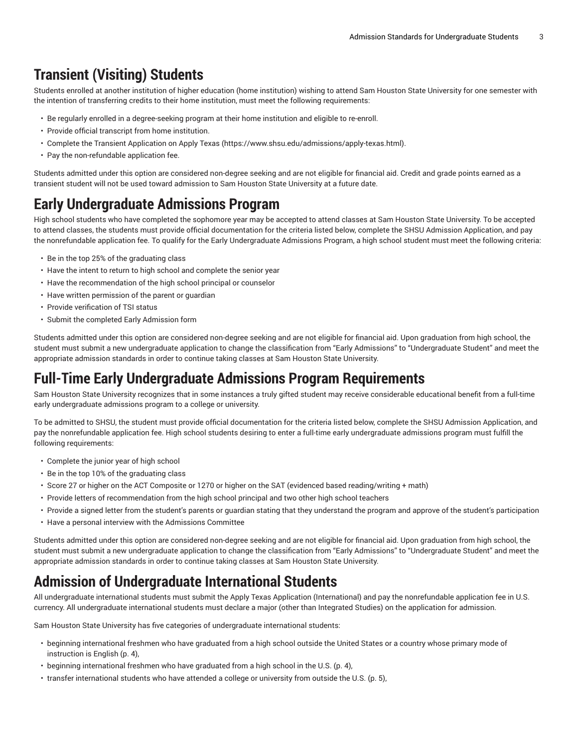# <span id="page-2-0"></span>**Transient (Visiting) Students**

Students enrolled at another institution of higher education (home institution) wishing to attend Sam Houston State University for one semester with the intention of transferring credits to their home institution, must meet the following requirements:

- Be regularly enrolled in a degree-seeking program at their home institution and eligible to re-enroll.
- Provide official transcript from home institution.
- Complete the Transient Application on Apply [Texas](https://www.shsu.edu/admissions/apply-texas.html) ([https://www.shsu.edu/admissions/apply-texas.html\)](https://www.shsu.edu/admissions/apply-texas.html).
- Pay the non-refundable application fee.

Students admitted under this option are considered non-degree seeking and are not eligible for financial aid. Credit and grade points earned as a transient student will not be used toward admission to Sam Houston State University at a future date.

# <span id="page-2-1"></span>**Early Undergraduate Admissions Program**

High school students who have completed the sophomore year may be accepted to attend classes at Sam Houston State University. To be accepted to attend classes, the students must provide official documentation for the criteria listed below, complete the SHSU Admission Application, and pay the nonrefundable application fee. To qualify for the Early Undergraduate Admissions Program, a high school student must meet the following criteria:

- Be in the top 25% of the graduating class
- Have the intent to return to high school and complete the senior year
- Have the recommendation of the high school principal or counselor
- Have written permission of the parent or guardian
- Provide verification of TSI status
- Submit the completed Early Admission form

Students admitted under this option are considered non-degree seeking and are not eligible for financial aid. Upon graduation from high school, the student must submit a new undergraduate application to change the classification from "Early Admissions" to "Undergraduate Student" and meet the appropriate admission standards in order to continue taking classes at Sam Houston State University.

# <span id="page-2-2"></span>**Full-Time Early Undergraduate Admissions Program Requirements**

Sam Houston State University recognizes that in some instances a truly gifted student may receive considerable educational benefit from a full-time early undergraduate admissions program to a college or university.

To be admitted to SHSU, the student must provide official documentation for the criteria listed below, complete the SHSU Admission Application, and pay the nonrefundable application fee. High school students desiring to enter a full-time early undergraduate admissions program must fulfill the following requirements:

- Complete the junior year of high school
- Be in the top 10% of the graduating class
- Score 27 or higher on the ACT Composite or 1270 or higher on the SAT (evidenced based reading/writing + math)
- Provide letters of recommendation from the high school principal and two other high school teachers
- Provide a signed letter from the student's parents or guardian stating that they understand the program and approve of the student's participation
- Have a personal interview with the Admissions Committee

Students admitted under this option are considered non-degree seeking and are not eligible for financial aid. Upon graduation from high school, the student must submit a new undergraduate application to change the classification from "Early Admissions" to "Undergraduate Student" and meet the appropriate admission standards in order to continue taking classes at Sam Houston State University.

# <span id="page-2-3"></span>**Admission of Undergraduate International Students**

All undergraduate international students must submit the Apply Texas Application (International) and pay the nonrefundable application fee in U.S. currency. All undergraduate international students must declare a major (other than Integrated Studies) on the application for admission.

Sam Houston State University has five categories of undergraduate international students:

- beginning [international](#page-3-0) freshmen who have graduated from a high school outside the United States or a country whose primary mode of [instruction is English \(p. 4](#page-3-0)),
- beginning [international](#page-3-1) freshmen who have graduated from a high school in the U.S. [\(p. 4](#page-3-1)),
- transfer [international](#page-4-0) students who have attended a college or university from outside the U.S. [\(p. 5\)](#page-4-0),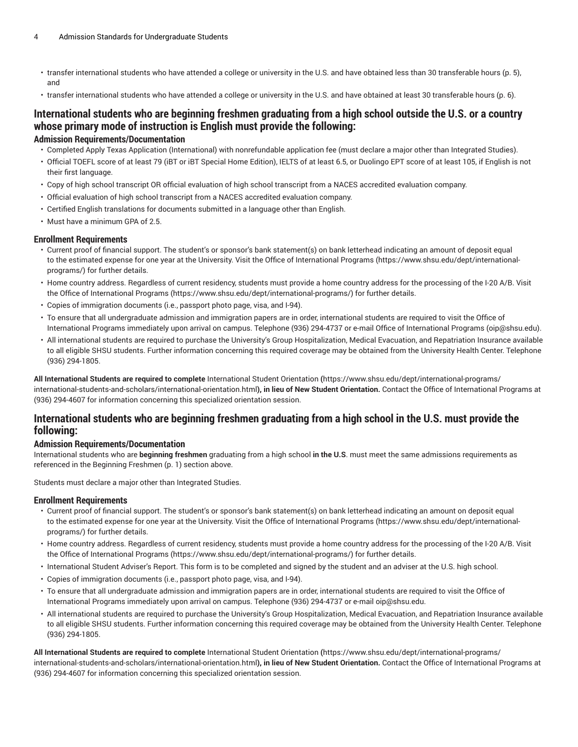- transfer [international](#page-4-1) students who have attended a college or university in the U.S. and have obtained less than 30 transferable hours [\(p. 5](#page-4-1)), and
- <span id="page-3-0"></span>• transfer [international](#page-5-0) students who have attended a college or university in the U.S. and have obtained at least 30 transferable hours ([p. 6](#page-5-0)).

### International students who are beginning freshmen graduating from a high school outside the U.S. or a country **whose primary mode of instruction is English must provide the following:**

#### **Admission Requirements/Documentation**

- Completed Apply Texas Application (International) with nonrefundable application fee (must declare a major other than Integrated Studies).
- Official TOEFL score of at least 79 (iBT or iBT Special Home Edition), IELTS of at least 6.5, or Duolingo EPT score of at least 105, if English is not their first language.
- Copy of high school transcript OR official evaluation of high school transcript from a NACES accredited evaluation company.
- Official evaluation of high school transcript from a NACES accredited evaluation company.
- Certified English translations for documents submitted in a language other than English.
- Must have a minimum GPA of 2.5.

#### **Enrollment Requirements**

- Current proof of financial support. The student's or sponsor's bank statement(s) on bank letterhead indicating an amount of deposit equal to the estimated expense for one year at the University. Visit the Office of [International](https://www.shsu.edu/dept/international-programs/) Programs ([https://www.shsu.edu/dept/international](https://www.shsu.edu/dept/international-programs/)[programs/\)](https://www.shsu.edu/dept/international-programs/) for further details.
- Home country address. Regardless of current residency, students must provide a home country address for the processing of the I-20 A/B. Visit the Office of [International](https://www.shsu.edu/dept/international-programs/) Programs [\(https://www.shsu.edu/dept/international-programs/\)](https://www.shsu.edu/dept/international-programs/) for further details.
- Copies of immigration documents (i.e., passport photo page, visa, and I-94).
- To ensure that all undergraduate admission and immigration papers are in order, international students are required to visit the Office of International Programs immediately upon arrival on campus. Telephone (936) 294-4737 or e-mail Office of [International](mailto:oip@shsu.edu) Programs [\(oip@shsu.edu](oip@shsu.edu)).
- All international students are required to purchase the University's Group Hospitalization, Medical Evacuation, and Repatriation Insurance available to all eligible SHSU students. Further information concerning this required coverage may be obtained from the University Health Center. Telephone (936) 294-1805.

**All International Students are required to complete** [International Student Orientation](https://www.shsu.edu/dept/international-programs/international-students-and-scholars/international-orientation.html) **(**[https://www.shsu.edu/dept/international-programs/](https://www.shsu.edu/dept/international-programs/international-students-and-scholars/international-orientation.html) [international-students-and-scholars/international-orientation.html](https://www.shsu.edu/dept/international-programs/international-students-and-scholars/international-orientation.html)**), in lieu of New Student Orientation.** Contact the Office of International Programs at (936) 294-4607 for information concerning this specialized orientation session.

### <span id="page-3-1"></span>International students who are beginning freshmen graduating from a high school in the U.S. must provide the **following:**

#### **Admission Requirements/Documentation**

International students who are **beginning freshmen** graduating from a high school **in the U.S**. must meet the same admissions requirements as referenced in the [Beginning](#page-0-0) Freshmen ([p. 1](#page-0-0)) section above.

Students must declare a major other than Integrated Studies.

#### **Enrollment Requirements**

- Current proof of financial support. The student's or sponsor's bank statement(s) on bank letterhead indicating an amount on deposit equal to the estimated expense for one year at the University. Visit the Office of [International](https://www.shsu.edu/dept/international-programs/) Programs ([https://www.shsu.edu/dept/international](https://www.shsu.edu/dept/international-programs/)[programs/\)](https://www.shsu.edu/dept/international-programs/) for further details.
- Home country address. Regardless of current residency, students must provide a home country address for the processing of the I-20 A/B. Visit the Office of [International](https://www.shsu.edu/dept/international-programs/) Programs [\(https://www.shsu.edu/dept/international-programs/\)](https://www.shsu.edu/dept/international-programs/) for further details.
- International Student Adviser's Report. This form is to be completed and signed by the student and an adviser at the U.S. high school.
- Copies of immigration documents (i.e., passport photo page, visa, and I-94).
- To ensure that all undergraduate admission and immigration papers are in order, international students are required to visit the Office of International Programs immediately upon arrival on campus. Telephone (936) 294-4737 or e-mail [oip@shsu.edu](mailto:oip@shsu.edu).
- All international students are required to purchase the University's Group Hospitalization, Medical Evacuation, and Repatriation Insurance available to all eligible SHSU students. Further information concerning this required coverage may be obtained from the University Health Center. Telephone (936) 294-1805.

**All International Students are required to complete** [International Student Orientation](https://www.shsu.edu/dept/international-programs/international-students-and-scholars/international-orientation.html) **(**[https://www.shsu.edu/dept/international-programs/](https://www.shsu.edu/dept/international-programs/international-students-and-scholars/international-orientation.html) [international-students-and-scholars/international-orientation.html](https://www.shsu.edu/dept/international-programs/international-students-and-scholars/international-orientation.html)**), in lieu of New Student Orientation.** Contact the Office of International Programs at (936) 294-4607 for information concerning this specialized orientation session.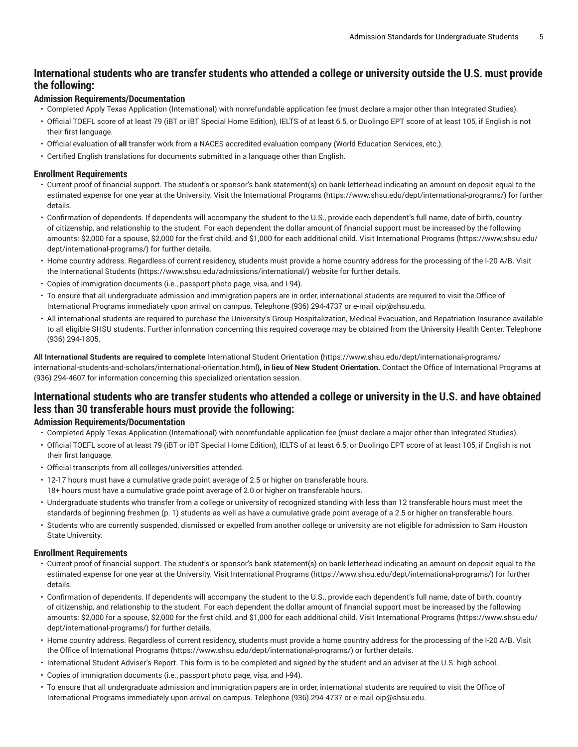### <span id="page-4-0"></span>International students who are transfer students who attended a college or university outside the U.S. must provide **the following:**

#### **Admission Requirements/Documentation**

- Completed Apply Texas Application (International) with nonrefundable application fee (must declare a major other than Integrated Studies).
- Official TOEFL score of at least 79 (iBT or iBT Special Home Edition), IELTS of at least 6.5, or Duolingo EPT score of at least 105, if English is not their first language.
- Official evaluation of **all** transfer work from a NACES accredited evaluation company (World Education Services, etc.).
- Certified English translations for documents submitted in a language other than English.

#### **Enrollment Requirements**

- Current proof of financial support. The student's or sponsor's bank statement(s) on bank letterhead indicating an amount on deposit equal to the estimated expense for one year at the University. Visit the [International](https://www.shsu.edu/dept/international-programs/) Programs (<https://www.shsu.edu/dept/international-programs/>) for further details.
- Confirmation of dependents. If dependents will accompany the student to the U.S., provide each dependent's full name, date of birth, country of citizenship, and relationship to the student. For each dependent the dollar amount of financial support must be increased by the following amounts: \$2,000 for a spouse, \$2,000 for the first child, and \$1,000 for each additional child. Visit [International](https://www.shsu.edu/dept/international-programs/) Programs [\(https://www.shsu.edu/](https://www.shsu.edu/dept/international-programs/) [dept/international-programs/\)](https://www.shsu.edu/dept/international-programs/) for further details.
- Home country address. Regardless of current residency, students must provide a home country address for the processing of the I-20 A/B. Visit the [International Students \(https://www.shsu.edu/admissions/international/](https://www.shsu.edu/admissions/international/)) website for further details.
- Copies of immigration documents (i.e., passport photo page, visa, and I-94).
- To ensure that all undergraduate admission and immigration papers are in order, international students are required to visit the Office of International Programs immediately upon arrival on campus. Telephone (936) 294-4737 or e-mail [oip@shsu.edu](mailto:oip@shsu.edu).
- All international students are required to purchase the University's Group Hospitalization, Medical Evacuation, and Repatriation Insurance available to all eligible SHSU students. Further information concerning this required coverage may be obtained from the University Health Center. Telephone (936) 294-1805.

**All International Students are required to complete** [International Student Orientation](https://www.shsu.edu/dept/international-programs/international-students-and-scholars/international-orientation.html) **(**[https://www.shsu.edu/dept/international-programs/](https://www.shsu.edu/dept/international-programs/international-students-and-scholars/international-orientation.html) [international-students-and-scholars/international-orientation.html](https://www.shsu.edu/dept/international-programs/international-students-and-scholars/international-orientation.html)**), in lieu of New Student Orientation.** Contact the Office of International Programs at (936) 294-4607 for information concerning this specialized orientation session.

### <span id="page-4-1"></span>International students who are transfer students who attended a college or university in the U.S. and have obtained **less than 30 transferable hours must provide the following:**

#### **Admission Requirements/Documentation**

- Completed Apply Texas Application (International) with nonrefundable application fee (must declare a major other than Integrated Studies).
- Official TOEFL score of at least 79 (iBT or iBT Special Home Edition), IELTS of at least 6.5, or Duolingo EPT score of at least 105, if English is not their first language.
- Official transcripts from all colleges/universities attended.
- 12-17 hours must have a cumulative grade point average of 2.5 or higher on transferable hours.
- 18+ hours must have a cumulative grade point average of 2.0 or higher on transferable hours.
- Undergraduate students who transfer from a college or university of recognized standing with less than 12 transferable hours must meet the standards of [beginning](#page-0-0) freshmen ([p. 1\)](#page-0-0) students as well as have a cumulative grade point average of a 2.5 or higher on transferable hours.
- Students who are currently suspended, dismissed or expelled from another college or university are not eligible for admission to Sam Houston State University.

#### **Enrollment Requirements**

- Current proof of financial support. The student's or sponsor's bank statement(s) on bank letterhead indicating an amount on deposit equal to the estimated expense for one year at the University. Visit [International](https://www.shsu.edu/dept/international-programs/) Programs [\(https://www.shsu.edu/dept/international-programs/](https://www.shsu.edu/dept/international-programs/)) for further details.
- Confirmation of dependents. If dependents will accompany the student to the U.S., provide each dependent's full name, date of birth, country of citizenship, and relationship to the student. For each dependent the dollar amount of financial support must be increased by the following amounts: \$2,000 for a spouse, \$2,000 for the first child, and \$1,000 for each additional child. Visit [International](https://www.shsu.edu/dept/international-programs/) Programs [\(https://www.shsu.edu/](https://www.shsu.edu/dept/international-programs/) [dept/international-programs/\)](https://www.shsu.edu/dept/international-programs/) for further details.
- Home country address. Regardless of current residency, students must provide a home country address for the processing of the I-20 A/B. Visit the Office of [International](https://www.shsu.edu/dept/international-programs/) Programs [\(https://www.shsu.edu/dept/international-programs/\)](https://www.shsu.edu/dept/international-programs/) or further details.
- International Student Adviser's Report. This form is to be completed and signed by the student and an adviser at the U.S. high school.
- Copies of immigration documents (i.e., passport photo page, visa, and I-94).
- To ensure that all undergraduate admission and immigration papers are in order, international students are required to visit the Office of International Programs immediately upon arrival on campus. Telephone (936) 294-4737 or e-mail [oip@shsu.edu](mailto:oip@shsu.edu).